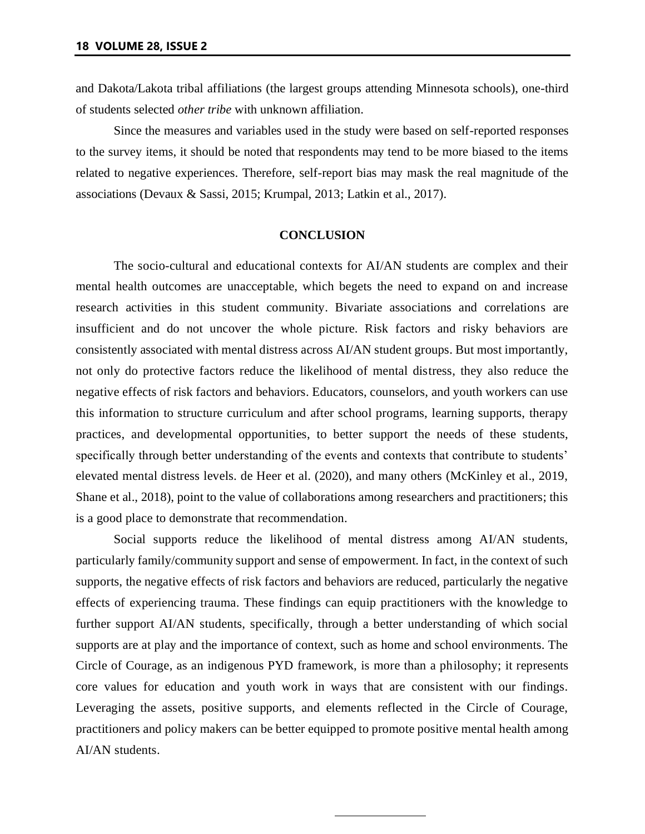and Dakota/Lakota tribal affiliations (the largest groups attending Minnesota schools), one-third of students selected *other tribe* with unknown affiliation.

Since the measures and variables used in the study were based on self-reported responses to the survey items, it should be noted that respondents may tend to be more biased to the items related to negative experiences. Therefore, self-report bias may mask the real magnitude of the associations (Devaux & Sassi, 2015; Krumpal, 2013; Latkin et al., 2017).

#### **CONCLUSION**

The socio-cultural and educational contexts for AI/AN students are complex and their mental health outcomes are unacceptable, which begets the need to expand on and increase research activities in this student community. Bivariate associations and correlations are insufficient and do not uncover the whole picture. Risk factors and risky behaviors are consistently associated with mental distress across AI/AN student groups. But most importantly, not only do protective factors reduce the likelihood of mental distress, they also reduce the negative effects of risk factors and behaviors. Educators, counselors, and youth workers can use this information to structure curriculum and after school programs, learning supports, therapy practices, and developmental opportunities, to better support the needs of these students, specifically through better understanding of the events and contexts that contribute to students' elevated mental distress levels. de Heer et al. (2020), and many others (McKinley et al., 2019, Shane et al., 2018), point to the value of collaborations among researchers and practitioners; this is a good place to demonstrate that recommendation.

Social supports reduce the likelihood of mental distress among AI/AN students, particularly family/community support and sense of empowerment. In fact, in the context of such supports, the negative effects of risk factors and behaviors are reduced, particularly the negative effects of experiencing trauma. These findings can equip practitioners with the knowledge to further support AI/AN students, specifically, through a better understanding of which social supports are at play and the importance of context, such as home and school environments. The Circle of Courage, as an indigenous PYD framework, is more than a philosophy; it represents core values for education and youth work in ways that are consistent with our findings. Leveraging the assets, positive supports, and elements reflected in the Circle of Courage, practitioners and policy makers can be better equipped to promote positive mental health among AI/AN students.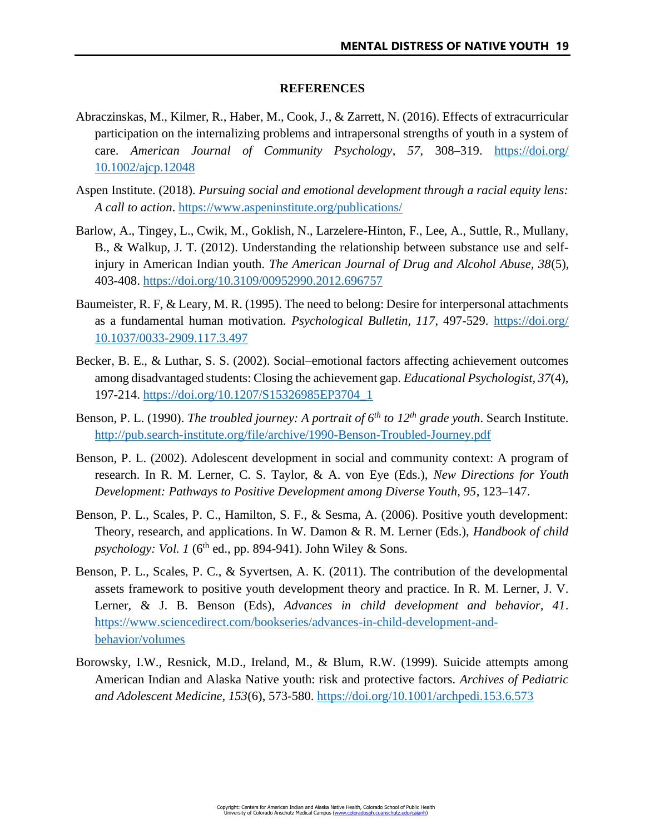#### **REFERENCES**

- Abraczinskas, M., Kilmer, R., Haber, M., Cook, J., & Zarrett, N. (2016). Effects of extracurricular participation on the internalizing problems and intrapersonal strengths of youth in a system of care. *American Journal of Community Psychology*, *57*, 308–319. [https://doi.org/](https://doi.org/10.1002/ajcp.12048) [10.1002/ajcp.12048](https://doi.org/10.1002/ajcp.12048)
- Aspen Institute. (2018). *Pursuing social and emotional development through a racial equity lens: A call to action*.<https://www.aspeninstitute.org/publications/>
- Barlow, A., Tingey, L., Cwik, M., Goklish, N., Larzelere-Hinton, F., Lee, A., Suttle, R., Mullany, B., & Walkup, J. T. (2012). Understanding the relationship between substance use and selfinjury in American Indian youth. *The American Journal of Drug and Alcohol Abuse, 38*(5), 403-408.<https://doi.org/10.3109/00952990.2012.696757>
- Baumeister, R. F, & Leary, M. R. (1995). The need to belong: Desire for interpersonal attachments as a fundamental human motivation. *Psychological Bulletin, 117*, 497-529. [https://doi.org/](https://doi.org/10.1037/0033-2909.117.3.497) [10.1037/0033-2909.117.3.497](https://doi.org/10.1037/0033-2909.117.3.497)
- Becker, B. E., & Luthar, S. S. (2002). Social–emotional factors affecting achievement outcomes among disadvantaged students: Closing the achievement gap. *Educational Psychologist, 37*(4), 197-214. [https://doi.org/10.1207/S15326985EP3704\\_1](https://doi.org/10.1207/S15326985EP3704_1)
- Benson, P. L. (1990). *The troubled journey: A portrait of 6th to 12th grade youth*. Search Institute. <http://pub.search-institute.org/file/archive/1990-Benson-Troubled-Journey.pdf>
- Benson, P. L. (2002). Adolescent development in social and community context: A program of research. In R. M. Lerner, C. S. Taylor, & A. von Eye (Eds.), *New Directions for Youth Development: Pathways to Positive Development among Diverse Youth, 95*, 123–147.
- Benson, P. L., Scales, P. C., Hamilton, S. F., & Sesma, A. (2006). Positive youth development: Theory, research, and applications. In W. Damon & R. M. Lerner (Eds.), *Handbook of child psychology: Vol. 1* (6<sup>th</sup> ed., pp. 894-941). John Wiley & Sons.
- Benson, P. L., Scales, P. C., & Syvertsen, A. K. (2011). The contribution of the developmental assets framework to positive youth development theory and practice. In R. M. Lerner, J. V. Lerner, & J. B. Benson (Eds), *Advances in child development and behavior, 41*. [https://www.sciencedirect.com/bookseries/advances-in-child-development-and](https://www.sciencedirect.com/bookseries/advances-in-child-development-and-behavior/volumes)[behavior/volumes](https://www.sciencedirect.com/bookseries/advances-in-child-development-and-behavior/volumes)
- Borowsky, I.W., Resnick, M.D., Ireland, M., & Blum, R.W. (1999). Suicide attempts among American Indian and Alaska Native youth: risk and protective factors. *Archives of Pediatric and Adolescent Medicine, 153*(6), 573-580.<https://doi.org/10.1001/archpedi.153.6.573>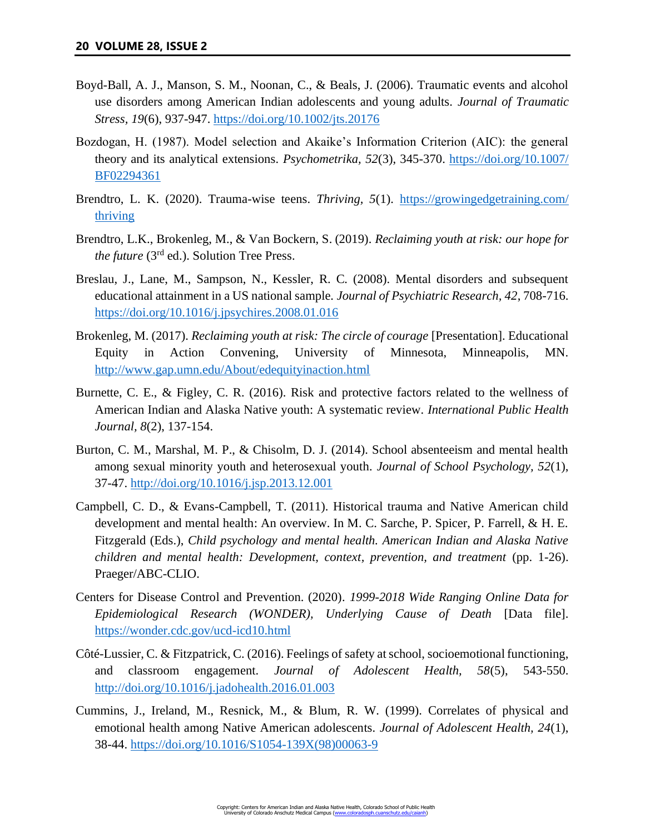- Boyd-Ball, A. J., Manson, S. M., Noonan, C., & Beals, J. (2006). Traumatic events and alcohol use disorders among American Indian adolescents and young adults. *Journal of Traumatic Stress, 19*(6), 937-947.<https://doi.org/10.1002/jts.20176>
- Bozdogan, H. (1987). Model selection and Akaike's Information Criterion (AIC): the general theory and its analytical extensions. *Psychometrika, 52*(3), 345-370. [https://doi.org/10.1007/](https://doi.org/10.1007/BF02294361) [BF02294361](https://doi.org/10.1007/BF02294361)
- Brendtro, L. K. (2020). Trauma-wise teens. *Thriving, 5*(1). [https://growingedgetraining.com/](https://growingedgetraining.com/thriving) [thriving](https://growingedgetraining.com/thriving)
- Brendtro, L.K., Brokenleg, M., & Van Bockern, S. (2019). *Reclaiming youth at risk: our hope for the future* (3rd ed.). Solution Tree Press.
- Breslau, J., Lane, M., Sampson, N., Kessler, R. C. (2008). Mental disorders and subsequent educational attainment in a US national sample. *Journal of Psychiatric Research, 42*, 708-716. <https://doi.org/10.1016/j.jpsychires.2008.01.016>
- Brokenleg, M. (2017). *Reclaiming youth at risk: The circle of courage* [Presentation]. Educational Equity in Action Convening, University of Minnesota, Minneapolis, MN. <http://www.gap.umn.edu/About/edequityinaction.html>
- Burnette, C. E., & Figley, C. R. (2016). Risk and protective factors related to the wellness of American Indian and Alaska Native youth: A systematic review. *International Public Health Journal, 8*(2), 137-154.
- Burton, C. M., Marshal, M. P., & Chisolm, D. J. (2014). School absenteeism and mental health among sexual minority youth and heterosexual youth. *Journal of School Psychology, 52*(1), 37-47.<http://doi.org/10.1016/j.jsp.2013.12.001>
- Campbell, C. D., & Evans-Campbell, T. (2011). Historical trauma and Native American child development and mental health: An overview. In M. C. Sarche, P. Spicer, P. Farrell, & H. E. Fitzgerald (Eds.), *Child psychology and mental health. American Indian and Alaska Native children and mental health: Development, context, prevention, and treatment* (pp. 1-26). Praeger/ABC-CLIO.
- Centers for Disease Control and Prevention. (2020). *1999-2018 Wide Ranging Online Data for Epidemiological Research (WONDER), Underlying Cause of Death* [Data file]. <https://wonder.cdc.gov/ucd-icd10.html>
- Côté-Lussier, C. & Fitzpatrick, C. (2016). Feelings of safety at school, socioemotional functioning, and classroom engagement. *Journal of Adolescent Health, 58*(5), 543-550. <http://doi.org/10.1016/j.jadohealth.2016.01.003>
- Cummins, J., Ireland, M., Resnick, M., & Blum, R. W. (1999). Correlates of physical and emotional health among Native American adolescents. *Journal of Adolescent Health, 24*(1), 38-44. [https://doi.org/10.1016/S1054-139X\(98\)00063-9](https://doi.org/10.1016/S1054-139X(98)00063-9)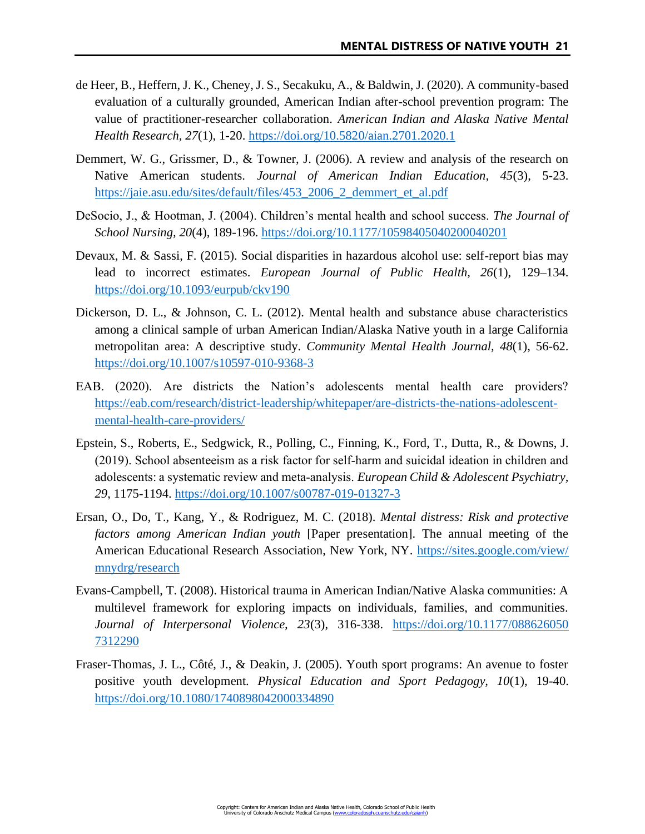- de Heer, B., Heffern, J. K., Cheney, J. S., Secakuku, A., & Baldwin, J. (2020). A community-based evaluation of a culturally grounded, American Indian after-school prevention program: The value of practitioner-researcher collaboration. *American Indian and Alaska Native Mental Health Research, 27*(1), 1-20.<https://doi.org/10.5820/aian.2701.2020.1>
- Demmert, W. G., Grissmer, D., & Towner, J. (2006). A review and analysis of the research on Native American students. *Journal of American Indian Education, 45*(3), 5-23. [https://jaie.asu.edu/sites/default/files/453\\_2006\\_2\\_demmert\\_et\\_al.pdf](https://jaie.asu.edu/sites/default/files/453_2006_2_demmert_et_al.pdf)
- DeSocio, J., & Hootman, J. (2004). Children's mental health and school success. *The Journal of School Nursing, 20*(4), 189-196.<https://doi.org/10.1177/10598405040200040201>
- Devaux, M. & Sassi, F. (2015). Social disparities in hazardous alcohol use: self-report bias may lead to incorrect estimates. *European Journal of Public Health, 26*(1), 129–134. <https://doi.org/10.1093/eurpub/ckv190>
- Dickerson, D. L., & Johnson, C. L. (2012). Mental health and substance abuse characteristics among a clinical sample of urban American Indian/Alaska Native youth in a large California metropolitan area: A descriptive study. *Community Mental Health Journal, 48*(1), 56-62. <https://doi.org/10.1007/s10597-010-9368-3>
- EAB. (2020). Are districts the Nation's adolescents mental health care providers? [https://eab.com/research/district-leadership/whitepaper/are-districts-the-nations-adolescent](https://eab.com/research/district-leadership/whitepaper/are-districts-the-nations-adolescent-mental-health-care-providers/)[mental-health-care-providers/](https://eab.com/research/district-leadership/whitepaper/are-districts-the-nations-adolescent-mental-health-care-providers/)
- Epstein, S., Roberts, E., Sedgwick, R., Polling, C., Finning, K., Ford, T., Dutta, R., & Downs, J. (2019). School absenteeism as a risk factor for self‑harm and suicidal ideation in children and adolescents: a systematic review and meta‑analysis. *European Child & Adolescent Psychiatry, 29*, 1175-1194.<https://doi.org/10.1007/s00787-019-01327-3>
- Ersan, O., Do, T., Kang, Y., & Rodriguez, M. C. (2018). *Mental distress: Risk and protective factors among American Indian youth* [Paper presentation]. The annual meeting of the American Educational Research Association, New York, NY. [https://sites.google.com/view/](https://sites.google.com/view/mnydrg/research) [mnydrg/research](https://sites.google.com/view/mnydrg/research)
- Evans-Campbell, T. (2008). Historical trauma in American Indian/Native Alaska communities: A multilevel framework for exploring impacts on individuals, families, and communities. *Journal of Interpersonal Violence, 23*(3), 316-338. [https://doi.org/10.1177/088626050](https://doi.org/10.1177/0886260507312290) [7312290](https://doi.org/10.1177/0886260507312290)
- Fraser-Thomas, J. L., Côté, J., & Deakin, J. (2005). Youth sport programs: An avenue to foster positive youth development. *Physical Education and Sport Pedagogy, 10*(1), 19-40. <https://doi.org/10.1080/1740898042000334890>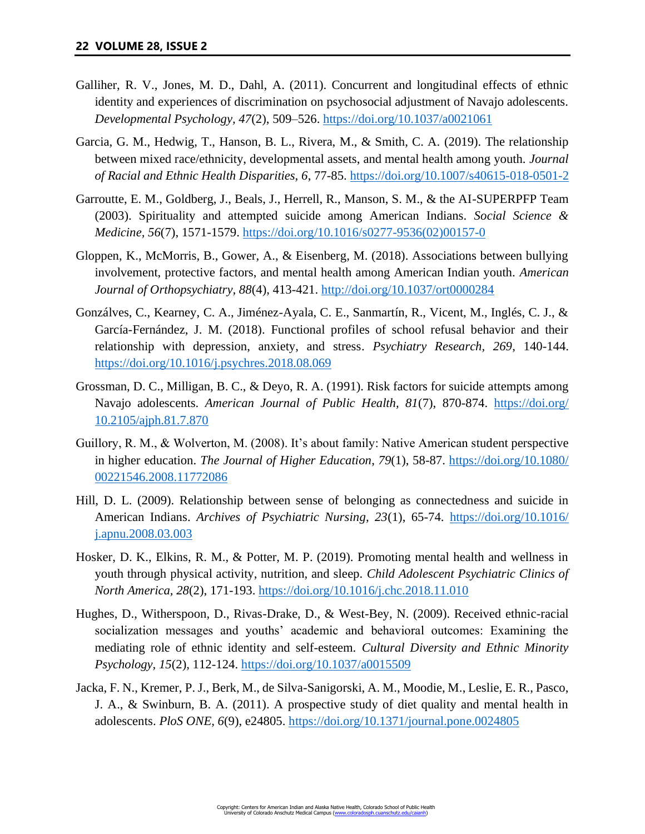- Galliher, R. V., Jones, M. D., Dahl, A. (2011). Concurrent and longitudinal effects of ethnic identity and experiences of discrimination on psychosocial adjustment of Navajo adolescents. *Developmental Psychology, 47*(2), 509–526.<https://doi.org/10.1037/a0021061>
- Garcia, G. M., Hedwig, T., Hanson, B. L., Rivera, M., & Smith, C. A. (2019). The relationship between mixed race/ethnicity, developmental assets, and mental health among youth. *Journal of Racial and Ethnic Health Disparities, 6*, 77-85.<https://doi.org/10.1007/s40615-018-0501-2>
- Garroutte, E. M., Goldberg, J., Beals, J., Herrell, R., Manson, S. M., & the AI-SUPERPFP Team (2003). Spirituality and attempted suicide among American Indians. *Social Science & Medicine, 56*(7), 1571-1579. [https://doi.org/10.1016/s0277-9536\(02\)00157-0](https://doi.org/10.1016/s0277-9536(02)00157-0)
- Gloppen, K., McMorris, B., Gower, A., & Eisenberg, M. (2018). Associations between bullying involvement, protective factors, and mental health among American Indian youth. *American Journal of Orthopsychiatry, 88*(4), 413-421.<http://doi.org/10.1037/ort0000284>
- Gonzálves, C., Kearney, C. A., Jiménez-Ayala, C. E., Sanmartín, R., Vicent, M., Inglés, C. J., & García-Fernández, J. M. (2018). Functional profiles of school refusal behavior and their relationship with depression, anxiety, and stress. *Psychiatry Research, 269*, 140-144. <https://doi.org/10.1016/j.psychres.2018.08.069>
- Grossman, D. C., Milligan, B. C., & Deyo, R. A. (1991). Risk factors for suicide attempts among Navajo adolescents. *American Journal of Public Health*, 81(7), 870-874. [https://doi.org/](https://doi.org/10.2105/ajph.81.7.870) [10.2105/ajph.81.7.870](https://doi.org/10.2105/ajph.81.7.870)
- Guillory, R. M., & Wolverton, M. (2008). It's about family: Native American student perspective in higher education. *The Journal of Higher Education*, *79*(1), 58-87. [https://doi.org/10.1080/](https://doi.org/10.1080/00221546.2008.11772086) [00221546.2008.11772086](https://doi.org/10.1080/00221546.2008.11772086)
- Hill, D. L. (2009). Relationship between sense of belonging as connectedness and suicide in American Indians. *Archives of Psychiatric Nursing, 23*(1), 65-74. [https://doi.org/10.1016/](https://doi.org/10.1016/j.apnu.2008.03.003) [j.apnu.2008.03.003](https://doi.org/10.1016/j.apnu.2008.03.003)
- Hosker, D. K., Elkins, R. M., & Potter, M. P. (2019). Promoting mental health and wellness in youth through physical activity, nutrition, and sleep. *Child Adolescent Psychiatric Clinics of North America, 28*(2), 171-193.<https://doi.org/10.1016/j.chc.2018.11.010>
- Hughes, D., Witherspoon, D., Rivas-Drake, D., & West-Bey, N. (2009). Received ethnic-racial socialization messages and youths' academic and behavioral outcomes: Examining the mediating role of ethnic identity and self-esteem. *Cultural Diversity and Ethnic Minority Psychology, 15*(2), 112-124.<https://doi.org/10.1037/a0015509>
- Jacka, F. N., Kremer, P. J., Berk, M., de Silva-Sanigorski, A. M., Moodie, M., Leslie, E. R., Pasco, J. A., & Swinburn, B. A. (2011). A prospective study of diet quality and mental health in adolescents. *PloS ONE, 6*(9), e24805.<https://doi.org/10.1371/journal.pone.0024805>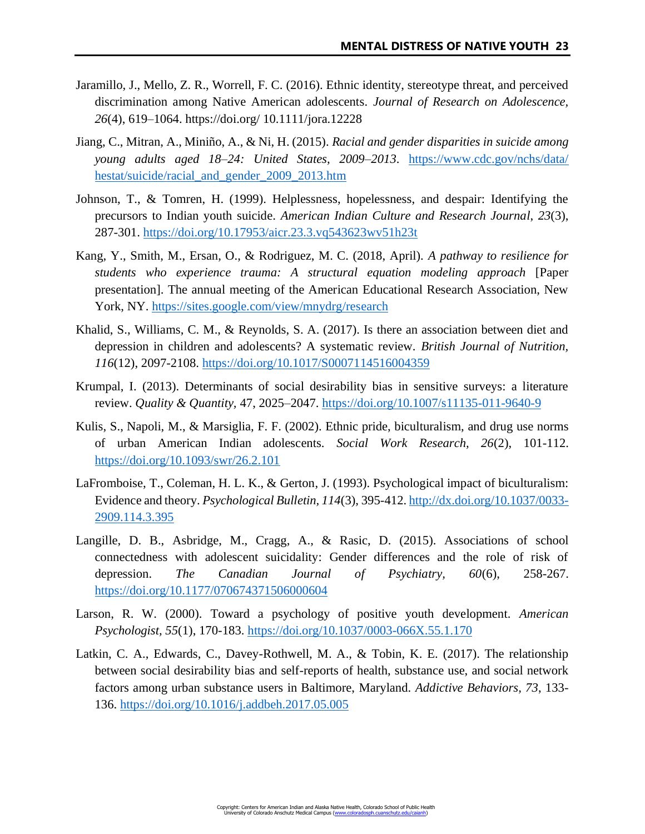- Jaramillo, J., Mello, Z. R., Worrell, F. C. (2016). Ethnic identity, stereotype threat, and perceived discrimination among Native American adolescents. *Journal of Research on Adolescence, 26*(4), 619–1064. https://doi.org/ 10.1111/jora.12228
- Jiang, C., Mitran, A., Miniño, A., & Ni, H. (2015). *Racial and gender disparities in suicide among young adults aged 18–24: United States, 2009–2013*. [https://www.cdc.gov/nchs/data/](https://www.cdc.gov/nchs/data/hestat/suicide/racial_and_gender_2009_2013.htm) [hestat/suicide/racial\\_and\\_gender\\_2009\\_2013.htm](https://www.cdc.gov/nchs/data/hestat/suicide/racial_and_gender_2009_2013.htm)
- Johnson, T., & Tomren, H. (1999). Helplessness, hopelessness, and despair: Identifying the precursors to Indian youth suicide. *American Indian Culture and Research Journal*, *23*(3), 287-301.<https://doi.org/10.17953/aicr.23.3.vq543623wv51h23t>
- Kang, Y., Smith, M., Ersan, O., & Rodriguez, M. C. (2018, April). *A pathway to resilience for students who experience trauma: A structural equation modeling approach* [Paper presentation]. The annual meeting of the American Educational Research Association, New York, NY.<https://sites.google.com/view/mnydrg/research>
- Khalid, S., Williams, C. M., & Reynolds, S. A. (2017). Is there an association between diet and depression in children and adolescents? A systematic review. *British Journal of Nutrition, 116*(12), 2097-2108.<https://doi.org/10.1017/S0007114516004359>
- Krumpal, I. (2013). Determinants of social desirability bias in sensitive surveys: a literature review. *Quality & Quantity,* 47, 2025–2047.<https://doi.org/10.1007/s11135-011-9640-9>
- Kulis, S., Napoli, M., & Marsiglia, F. F. (2002). Ethnic pride, biculturalism, and drug use norms of urban American Indian adolescents. *Social Work Research, 26*(2), 101-112. <https://doi.org/10.1093/swr/26.2.101>
- LaFromboise, T., Coleman, H. L. K., & Gerton, J. (1993). Psychological impact of biculturalism: Evidence and theory. *Psychological Bulletin, 114*(3), 395-412[. http://dx.doi.org/10.1037/0033-](http://dx.doi.org/10.1037/0033-2909.114.3.395) [2909.114.3.395](http://dx.doi.org/10.1037/0033-2909.114.3.395)
- Langille, D. B., Asbridge, M., Cragg, A., & Rasic, D. (2015). Associations of school connectedness with adolescent suicidality: Gender differences and the role of risk of depression. *The Canadian Journal of Psychiatry, 60*(6), 258-267. <https://doi.org/10.1177/070674371506000604>
- Larson, R. W. (2000). Toward a psychology of positive youth development. *American Psychologist, 55*(1), 170-183.<https://doi.org/10.1037/0003-066X.55.1.170>
- Latkin, C. A., Edwards, C., Davey-Rothwell, M. A., & Tobin, K. E. (2017). The relationship between social desirability bias and self-reports of health, substance use, and social network factors among urban substance users in Baltimore, Maryland. *Addictive Behaviors, 73*, 133- 136.<https://doi.org/10.1016/j.addbeh.2017.05.005>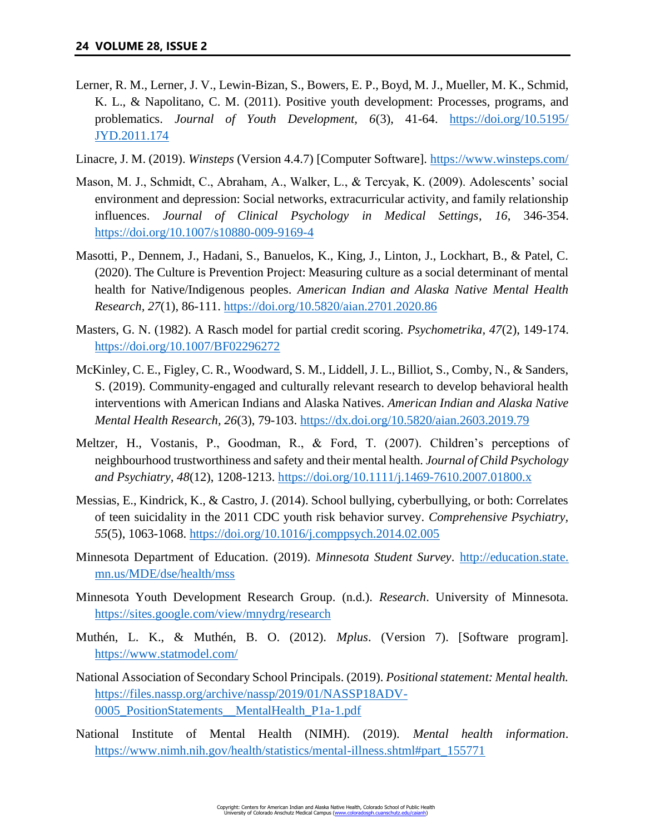- Lerner, R. M., Lerner, J. V., Lewin-Bizan, S., Bowers, E. P., Boyd, M. J., Mueller, M. K., Schmid, K. L., & Napolitano, C. M. (2011). Positive youth development: Processes, programs, and problematics. *Journal of Youth Development, 6*(3), 41-64. [https://doi.org/10.5195/](https://doi.org/10.5195/JYD.2011.174) [JYD.2011.174](https://doi.org/10.5195/JYD.2011.174)
- Linacre, J. M. (2019). *Winsteps* (Version 4.4.7) [Computer Software].<https://www.winsteps.com/>
- Mason, M. J., Schmidt, C., Abraham, A., Walker, L., & Tercyak, K. (2009). Adolescents' social environment and depression: Social networks, extracurricular activity, and family relationship influences. *Journal of Clinical Psychology in Medical Settings*, *16*, 346-354. <https://doi.org/10.1007/s10880-009-9169-4>
- Masotti, P., Dennem, J., Hadani, S., Banuelos, K., King, J., Linton, J., Lockhart, B., & Patel, C. (2020). The Culture is Prevention Project: Measuring culture as a social determinant of mental health for Native/Indigenous peoples. *American Indian and Alaska Native Mental Health Research, 27*(1), 86-111.<https://doi.org/10.5820/aian.2701.2020.86>
- Masters, G. N. (1982). A Rasch model for partial credit scoring. *Psychometrika, 47*(2), 149-174. <https://doi.org/10.1007/BF02296272>
- McKinley, C. E., Figley, C. R., Woodward, S. M., Liddell, J. L., Billiot, S., Comby, N., & Sanders, S. (2019). Community-engaged and culturally relevant research to develop behavioral health interventions with American Indians and Alaska Natives. *American Indian and Alaska Native Mental Health Research, 26*(3), 79-103.<https://dx.doi.org/10.5820/aian.2603.2019.79>
- Meltzer, H., Vostanis, P., Goodman, R., & Ford, T. (2007). Children's perceptions of neighbourhood trustworthiness and safety and their mental health. *Journal of Child Psychology and Psychiatry, 48*(12), 1208-1213.<https://doi.org/10.1111/j.1469-7610.2007.01800.x>
- Messias, E., Kindrick, K., & Castro, J. (2014). School bullying, cyberbullying, or both: Correlates of teen suicidality in the 2011 CDC youth risk behavior survey. *Comprehensive Psychiatry, 55*(5), 1063-1068.<https://doi.org/10.1016/j.comppsych.2014.02.005>
- Minnesota Department of Education. (2019). *Minnesota Student Survey*. [http://education.state.](http://education.state.mn.us/MDE/dse/health/mss) [mn.us/MDE/dse/health/mss](http://education.state.mn.us/MDE/dse/health/mss)
- Minnesota Youth Development Research Group. (n.d.). *Research*. University of Minnesota. <https://sites.google.com/view/mnydrg/research>
- Muthén, L. K., & Muthén, B. O. (2012). *Mplus*. (Version 7). [Software program]. <https://www.statmodel.com/>
- National Association of Secondary School Principals. (2019). *Positional statement: Mental health.*  [https://files.nassp.org/archive/nassp/2019/01/NASSP18ADV-](https://files.nassp.org/archive/nassp/2019/01/NASSP18ADV-0005_PositionStatements__MentalHealth_P1a-1.pdf)0005 PositionStatements\_MentalHealth\_P1a-1.pdf
- National Institute of Mental Health (NIMH). (2019). *Mental health information*. [https://www.nimh.nih.gov/health/statistics/mental-illness.shtml#part\\_155771](https://www.nimh.nih.gov/health/statistics/mental-illness.shtml#part_155771)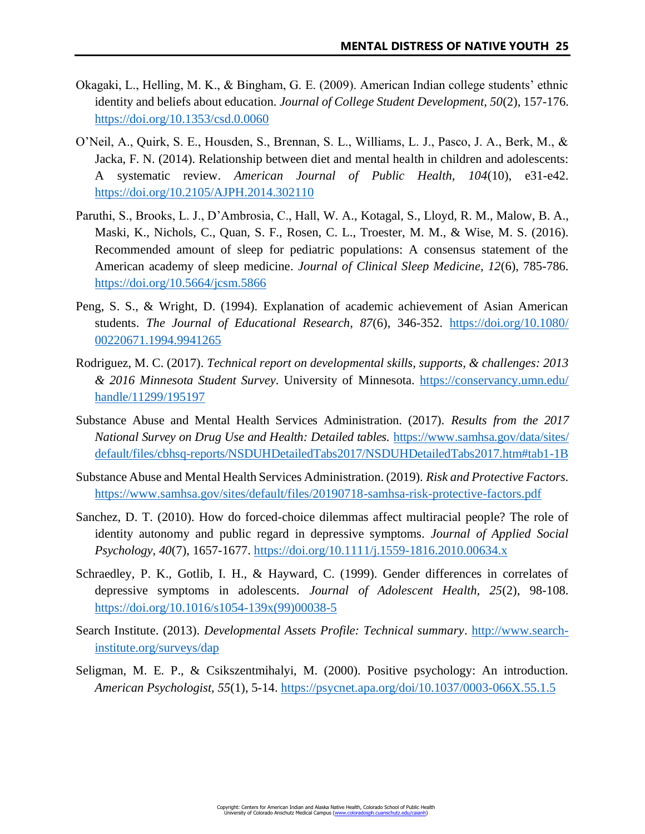- Okagaki, L., Helling, M. K., & Bingham, G. E. (2009). American Indian college students' ethnic identity and beliefs about education. *Journal of College Student Development, 50*(2), 157-176. <https://doi.org/10.1353/csd.0.0060>
- O'Neil, A., Quirk, S. E., Housden, S., Brennan, S. L., Williams, L. J., Pasco, J. A., Berk, M., & Jacka, F. N. (2014). Relationship between diet and mental health in children and adolescents: A systematic review. *American Journal of Public Health, 104*(10), e31-e42. <https://doi.org/10.2105/AJPH.2014.302110>
- Paruthi, S., Brooks, L. J., D'Ambrosia, C., Hall, W. A., Kotagal, S., Lloyd, R. M., Malow, B. A., Maski, K., Nichols, C., Quan, S. F., Rosen, C. L., Troester, M. M., & Wise, M. S. (2016). Recommended amount of sleep for pediatric populations: A consensus statement of the American academy of sleep medicine. *Journal of Clinical Sleep Medicine, 12*(6), 785-786. <https://doi.org/10.5664/jcsm.5866>
- Peng, S. S., & Wright, D. (1994). Explanation of academic achievement of Asian American students. *The Journal of Educational Research, 87*(6), 346-352. [https://doi.org/10.1080/](https://doi.org/10.1080/00220671.1994.9941265) [00220671.1994.9941265](https://doi.org/10.1080/00220671.1994.9941265)
- Rodriguez, M. C. (2017). *Technical report on developmental skills, supports, & challenges: 2013 & 2016 Minnesota Student Survey*. University of Minnesota. [https://conservancy.umn.edu/](https://conservancy.umn.edu/handle/11299/195197) [handle/11299/195197](https://conservancy.umn.edu/handle/11299/195197)
- Substance Abuse and Mental Health Services Administration. (2017). *Results from the 2017 National Survey on Drug Use and Health: Detailed tables.* [https://www.samhsa.gov/data/sites/](https://www.samhsa.gov/data/sites/default/files/cbhsq-reports/NSDUHDetailedTabs2017/NSDUHDetailedTabs2017.htm#tab1-1B) [default/files/cbhsq-reports/NSDUHDetailedTabs2017/NSDUHDetailedTabs2017.htm#tab1-1B](https://www.samhsa.gov/data/sites/default/files/cbhsq-reports/NSDUHDetailedTabs2017/NSDUHDetailedTabs2017.htm#tab1-1B)
- Substance Abuse and Mental Health Services Administration. (2019). *Risk and Protective Factors.* <https://www.samhsa.gov/sites/default/files/20190718-samhsa-risk-protective-factors.pdf>
- Sanchez, D. T. (2010). How do forced-choice dilemmas affect multiracial people? The role of identity autonomy and public regard in depressive symptoms. *Journal of Applied Social Psychology, 40*(7), 1657-1677.<https://doi.org/10.1111/j.1559-1816.2010.00634.x>
- Schraedley, P. K., Gotlib, I. H., & Hayward, C. (1999). Gender differences in correlates of depressive symptoms in adolescents. *Journal of Adolescent Health, 25*(2), 98-108. [https://doi.org/10.1016/s1054-139x\(99\)00038-5](https://doi.org/10.1016/s1054-139x(99)00038-5)
- Search Institute. (2013). *Developmental Assets Profile: Technical summary*. [http://www.search](http://www.search-institute.org/surveys/dap)[institute.org/surveys/dap](http://www.search-institute.org/surveys/dap)
- Seligman, M. E. P., & Csikszentmihalyi, M. (2000). Positive psychology: An introduction. *American Psychologist, 55*(1), 5-14.<https://psycnet.apa.org/doi/10.1037/0003-066X.55.1.5>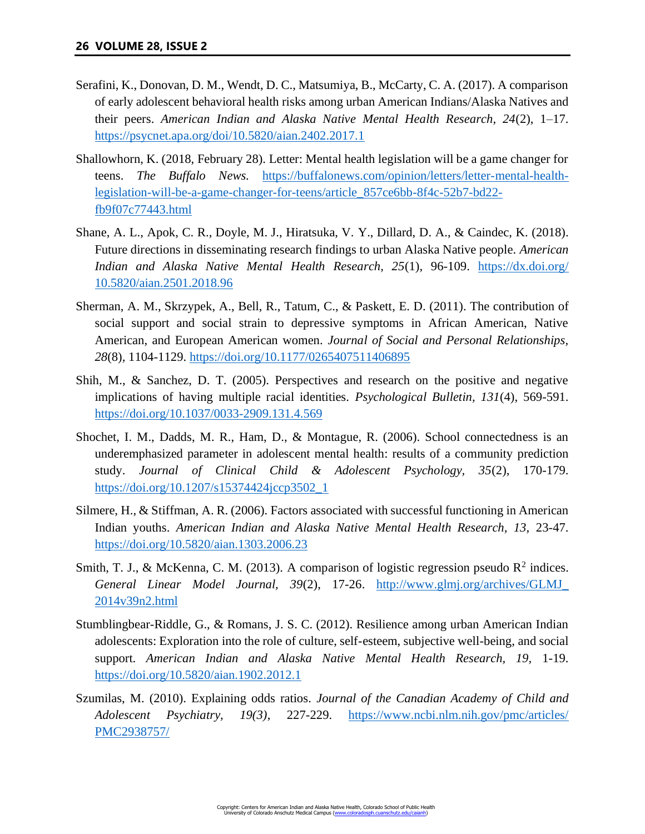- Serafini, K., Donovan, D. M., Wendt, D. C., Matsumiya, B., McCarty, C. A. (2017). A comparison of early adolescent behavioral health risks among urban American Indians/Alaska Natives and their peers. *American Indian and Alaska Native Mental Health Research, 24*(2), 1–17. <https://psycnet.apa.org/doi/10.5820/aian.2402.2017.1>
- Shallowhorn, K. (2018, February 28). Letter: Mental health legislation will be a game changer for teens. *The Buffalo News.* [https://buffalonews.com/opinion/letters/letter-mental-health](https://buffalonews.com/opinion/letters/letter-mental-health-legislation-will-be-a-game-changer-for-teens/article_857ce6bb-8f4c-52b7-bd22-fb9f07c77443.html)[legislation-will-be-a-game-changer-for-teens/article\\_857ce6bb-8f4c-52b7-bd22](https://buffalonews.com/opinion/letters/letter-mental-health-legislation-will-be-a-game-changer-for-teens/article_857ce6bb-8f4c-52b7-bd22-fb9f07c77443.html) [fb9f07c77443.html](https://buffalonews.com/opinion/letters/letter-mental-health-legislation-will-be-a-game-changer-for-teens/article_857ce6bb-8f4c-52b7-bd22-fb9f07c77443.html)
- Shane, A. L., Apok, C. R., Doyle, M. J., Hiratsuka, V. Y., Dillard, D. A., & Caindec, K. (2018). Future directions in disseminating research findings to urban Alaska Native people. *American Indian and Alaska Native Mental Health Research, 25*(1), 96-109. [https://dx.doi.org/](https://dx.doi.org/10.5820/aian.2501.2018.96) [10.5820/aian.2501.2018.96](https://dx.doi.org/10.5820/aian.2501.2018.96)
- Sherman, A. M., Skrzypek, A., Bell, R., Tatum, C., & Paskett, E. D. (2011). The contribution of social support and social strain to depressive symptoms in African American, Native American, and European American women. *Journal of Social and Personal Relationships, 28*(8)*,* 1104-1129.<https://doi.org/10.1177/0265407511406895>
- Shih, M., & Sanchez, D. T. (2005). Perspectives and research on the positive and negative implications of having multiple racial identities. *Psychological Bulletin, 131*(4), 569-591. <https://doi.org/10.1037/0033-2909.131.4.569>
- Shochet, I. M., Dadds, M. R., Ham, D., & Montague, R. (2006). School connectedness is an underemphasized parameter in adolescent mental health: results of a community prediction study. *Journal of Clinical Child & Adolescent Psychology, 35*(2), 170-179. [https://doi.org/10.1207/s15374424jccp3502\\_1](https://doi.org/10.1207/s15374424jccp3502_1)
- Silmere, H., & Stiffman, A. R. (2006). Factors associated with successful functioning in American Indian youths. *American Indian and Alaska Native Mental Health Research, 13, 23-47.* <https://doi.org/10.5820/aian.1303.2006.23>
- Smith, T. J., & McKenna, C. M. (2013). A comparison of logistic regression pseudo  $\mathbb{R}^2$  indices. *General Linear Model Journal, 39*(2), 17-26. [http://www.glmj.org/archives/GLMJ\\_](http://www.glmj.org/archives/GLMJ_2014v39n2.html) [2014v39n2.html](http://www.glmj.org/archives/GLMJ_2014v39n2.html)
- Stumblingbear-Riddle, G., & Romans, J. S. C. (2012). Resilience among urban American Indian adolescents: Exploration into the role of culture, self-esteem, subjective well-being, and social support. *American Indian and Alaska Native Mental Health Research, 19,* 1-19. <https://doi.org/10.5820/aian.1902.2012.1>
- Szumilas, M. (2010). Explaining odds ratios. *Journal of the Canadian Academy of Child and Adolescent Psychiatry, 19(3)*, 227-229. [https://www.ncbi.nlm.nih.gov/pmc/articles/](https://www.ncbi.nlm.nih.gov/pmc/articles/PMC2938757/) [PMC2938757/](https://www.ncbi.nlm.nih.gov/pmc/articles/PMC2938757/)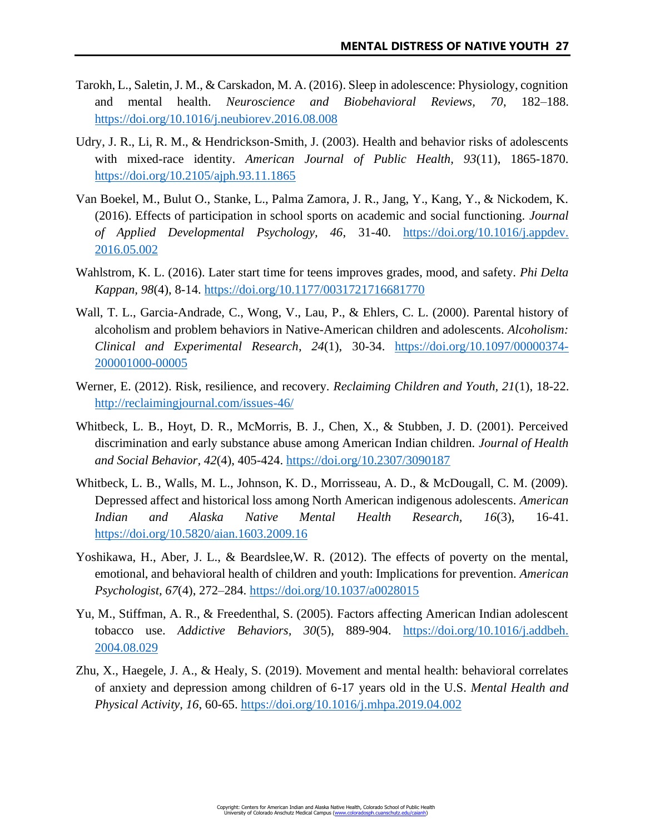- Tarokh, L., Saletin, J. M., & Carskadon, M. A. (2016). Sleep in adolescence: Physiology, cognition and mental health. *Neuroscience and Biobehavioral Reviews, 70*, 182–188. <https://doi.org/10.1016/j.neubiorev.2016.08.008>
- Udry, J. R., Li, R. M., & Hendrickson-Smith, J. (2003). Health and behavior risks of adolescents with mixed-race identity. *American Journal of Public Health, 93*(11), 1865-1870. <https://doi.org/10.2105/ajph.93.11.1865>
- Van Boekel, M., Bulut O., Stanke, L., Palma Zamora, J. R., Jang, Y., Kang, Y., & Nickodem, K. (2016). Effects of participation in school sports on academic and social functioning. *Journal of Applied Developmental Psychology, 46*, 31-40. [https://doi.org/10.1016/j.appdev.](https://doi.org/10.1016/j.appdev.2016.05.002) [2016.05.002](https://doi.org/10.1016/j.appdev.2016.05.002)
- Wahlstrom, K. L. (2016). Later start time for teens improves grades, mood, and safety. *Phi Delta Kappan, 98*(4), 8-14.<https://doi.org/10.1177/0031721716681770>
- Wall, T. L., Garcia-Andrade, C., Wong, V., Lau, P., & Ehlers, C. L. (2000). Parental history of alcoholism and problem behaviors in Native-American children and adolescents. *Alcoholism: Clinical and Experimental Research*, *24*(1), 30-34. [https://doi.org/10.1097/00000374-](https://doi.org/10.1097/00000374-200001000-00005) [200001000-00005](https://doi.org/10.1097/00000374-200001000-00005)
- Werner, E. (2012). Risk, resilience, and recovery. *Reclaiming Children and Youth, 21*(1), 18-22. <http://reclaimingjournal.com/issues-46/>
- Whitbeck, L. B., Hoyt, D. R., McMorris, B. J., Chen, X., & Stubben, J. D. (2001). Perceived discrimination and early substance abuse among American Indian children. *Journal of Health and Social Behavior, 42*(4), 405-424.<https://doi.org/10.2307/3090187>
- Whitbeck, L. B., Walls, M. L., Johnson, K. D., Morrisseau, A. D., & McDougall, C. M. (2009). Depressed affect and historical loss among North American indigenous adolescents. *American Indian and Alaska Native Mental Health Research, 16*(3), 16-41. <https://doi.org/10.5820/aian.1603.2009.16>
- Yoshikawa, H., Aber, J. L., & Beardslee,W. R. (2012). The effects of poverty on the mental, emotional, and behavioral health of children and youth: Implications for prevention. *American Psychologist, 67*(4), 272–284.<https://doi.org/10.1037/a0028015>
- Yu, M., Stiffman, A. R., & Freedenthal, S. (2005). Factors affecting American Indian adolescent tobacco use. *Addictive Behaviors, 30*(5), 889-904. [https://doi.org/10.1016/j.addbeh.](https://doi.org/10.1016/j.addbeh.2004.08.029) [2004.08.029](https://doi.org/10.1016/j.addbeh.2004.08.029)
- Zhu, X., Haegele, J. A., & Healy, S. (2019). Movement and mental health: behavioral correlates of anxiety and depression among children of 6-17 years old in the U.S. *Mental Health and Physical Activity, 16*, 60-65.<https://doi.org/10.1016/j.mhpa.2019.04.002>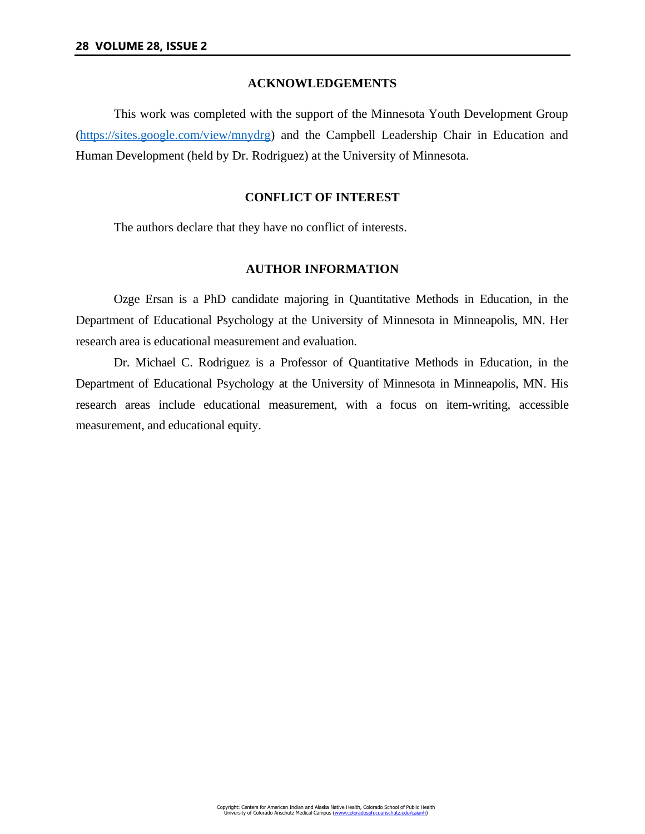## **ACKNOWLEDGEMENTS**

This work was completed with the support of the Minnesota Youth Development Group [\(https://sites.google.com/view/mnydrg\)](https://sites.google.com/view/mnydrg) and the Campbell Leadership Chair in Education and Human Development (held by Dr. Rodriguez) at the University of Minnesota.

## **CONFLICT OF INTEREST**

The authors declare that they have no conflict of interests.

# **AUTHOR INFORMATION**

Ozge Ersan is a PhD candidate majoring in Quantitative Methods in Education, in the Department of Educational Psychology at the University of Minnesota in Minneapolis, MN. Her research area is educational measurement and evaluation.

Dr. Michael C. Rodriguez is a Professor of Quantitative Methods in Education, in the Department of Educational Psychology at the University of Minnesota in Minneapolis, MN. His research areas include educational measurement, with a focus on item-writing, accessible measurement, and educational equity.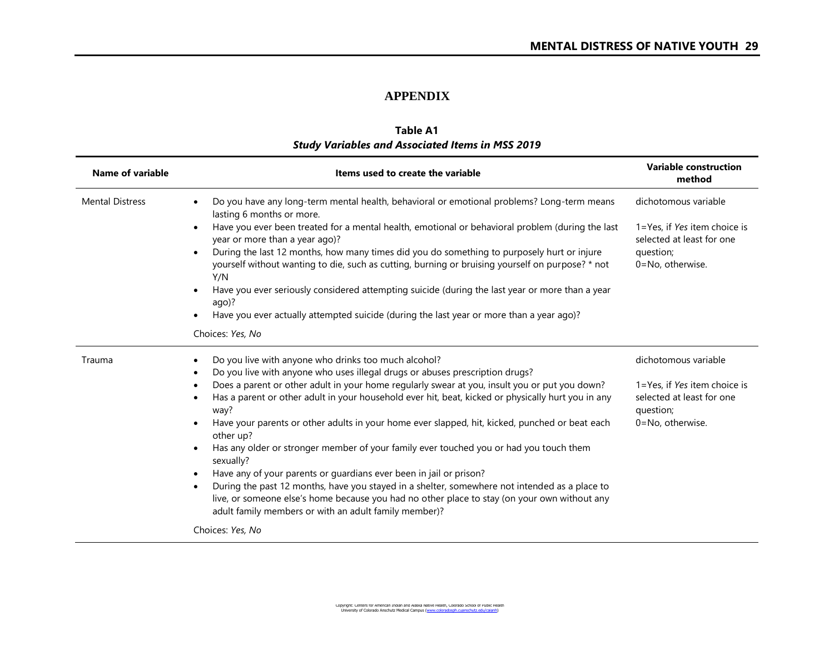# **APPENDIX**

| <b>Study Variables and Associated Items in MSS 2019</b> |                                                                                                                                                                                                                                                                                                                                                                                                                                                                                                                                                                                                                                                                                                                                                                                                                                                                                                                               |                                                                                                                                                              |  |  |  |  |  |  |  |
|---------------------------------------------------------|-------------------------------------------------------------------------------------------------------------------------------------------------------------------------------------------------------------------------------------------------------------------------------------------------------------------------------------------------------------------------------------------------------------------------------------------------------------------------------------------------------------------------------------------------------------------------------------------------------------------------------------------------------------------------------------------------------------------------------------------------------------------------------------------------------------------------------------------------------------------------------------------------------------------------------|--------------------------------------------------------------------------------------------------------------------------------------------------------------|--|--|--|--|--|--|--|
| <b>Name of variable</b>                                 | Items used to create the variable                                                                                                                                                                                                                                                                                                                                                                                                                                                                                                                                                                                                                                                                                                                                                                                                                                                                                             | <b>Variable construction</b><br>method<br>dichotomous variable<br>1=Yes, if Yes item choice is<br>selected at least for one<br>question;<br>0=No, otherwise. |  |  |  |  |  |  |  |
| <b>Mental Distress</b>                                  | Do you have any long-term mental health, behavioral or emotional problems? Long-term means<br>lasting 6 months or more.<br>Have you ever been treated for a mental health, emotional or behavioral problem (during the last<br>year or more than a year ago)?<br>During the last 12 months, how many times did you do something to purposely hurt or injure<br>yourself without wanting to die, such as cutting, burning or bruising yourself on purpose? * not<br>Y/N<br>Have you ever seriously considered attempting suicide (during the last year or more than a year<br>ago)?<br>Have you ever actually attempted suicide (during the last year or more than a year ago)?                                                                                                                                                                                                                                                |                                                                                                                                                              |  |  |  |  |  |  |  |
|                                                         | Choices: Yes, No                                                                                                                                                                                                                                                                                                                                                                                                                                                                                                                                                                                                                                                                                                                                                                                                                                                                                                              |                                                                                                                                                              |  |  |  |  |  |  |  |
| Trauma                                                  | Do you live with anyone who drinks too much alcohol?<br>Do you live with anyone who uses illegal drugs or abuses prescription drugs?<br>Does a parent or other adult in your home regularly swear at you, insult you or put you down?<br>Has a parent or other adult in your household ever hit, beat, kicked or physically hurt you in any<br>way?<br>Have your parents or other adults in your home ever slapped, hit, kicked, punched or beat each<br>other up?<br>Has any older or stronger member of your family ever touched you or had you touch them<br>sexually?<br>Have any of your parents or guardians ever been in jail or prison?<br>During the past 12 months, have you stayed in a shelter, somewhere not intended as a place to<br>live, or someone else's home because you had no other place to stay (on your own without any<br>adult family members or with an adult family member)?<br>Choices: Yes, No | dichotomous variable<br>1=Yes, if Yes item choice is<br>selected at least for one<br>question;<br>0=No, otherwise.                                           |  |  |  |  |  |  |  |

# **Table A1**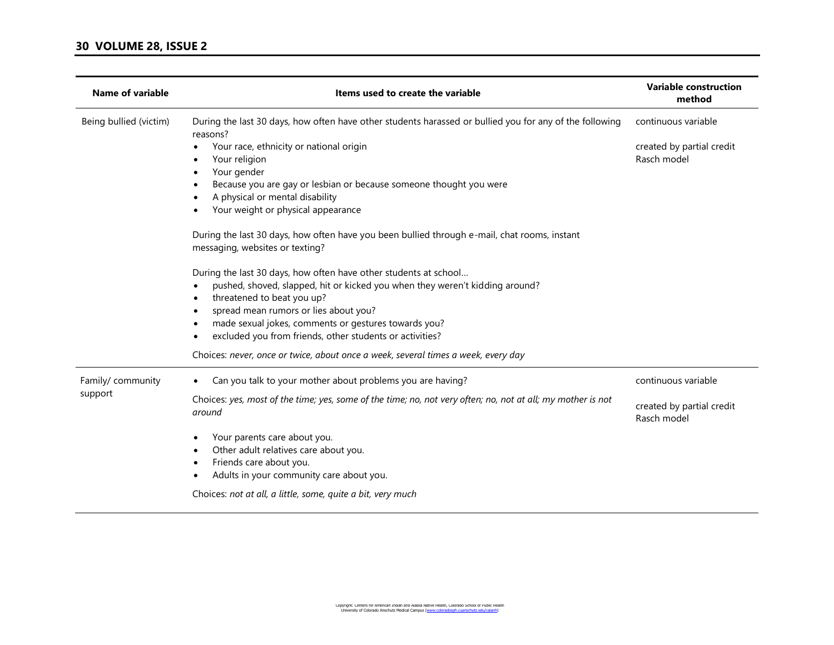| <b>Name of variable</b>      | Items used to create the variable                                                                                                                                                                                                                                                                                                           | <b>Variable construction</b><br>method<br>continuous variable |  |  |
|------------------------------|---------------------------------------------------------------------------------------------------------------------------------------------------------------------------------------------------------------------------------------------------------------------------------------------------------------------------------------------|---------------------------------------------------------------|--|--|
| Being bullied (victim)       | During the last 30 days, how often have other students harassed or bullied you for any of the following<br>reasons?                                                                                                                                                                                                                         |                                                               |  |  |
|                              | Your race, ethnicity or national origin<br>Your religion<br>Your gender                                                                                                                                                                                                                                                                     | created by partial credit<br>Rasch model                      |  |  |
|                              | Because you are gay or lesbian or because someone thought you were<br>A physical or mental disability<br>Your weight or physical appearance                                                                                                                                                                                                 |                                                               |  |  |
|                              | During the last 30 days, how often have you been bullied through e-mail, chat rooms, instant<br>messaging, websites or texting?                                                                                                                                                                                                             |                                                               |  |  |
|                              | During the last 30 days, how often have other students at school<br>pushed, shoved, slapped, hit or kicked you when they weren't kidding around?<br>threatened to beat you up?<br>spread mean rumors or lies about you?<br>made sexual jokes, comments or gestures towards you?<br>excluded you from friends, other students or activities? |                                                               |  |  |
|                              | Choices: never, once or twice, about once a week, several times a week, every day                                                                                                                                                                                                                                                           |                                                               |  |  |
| Family/ community<br>support | Can you talk to your mother about problems you are having?                                                                                                                                                                                                                                                                                  | continuous variable                                           |  |  |
|                              | Choices: yes, most of the time; yes, some of the time; no, not very often; no, not at all; my mother is not<br>around                                                                                                                                                                                                                       | created by partial credit<br>Rasch model                      |  |  |
|                              | Your parents care about you.<br>Other adult relatives care about you.<br>Friends care about you.<br>Adults in your community care about you.                                                                                                                                                                                                |                                                               |  |  |
|                              | Choices: not at all, a little, some, quite a bit, very much                                                                                                                                                                                                                                                                                 |                                                               |  |  |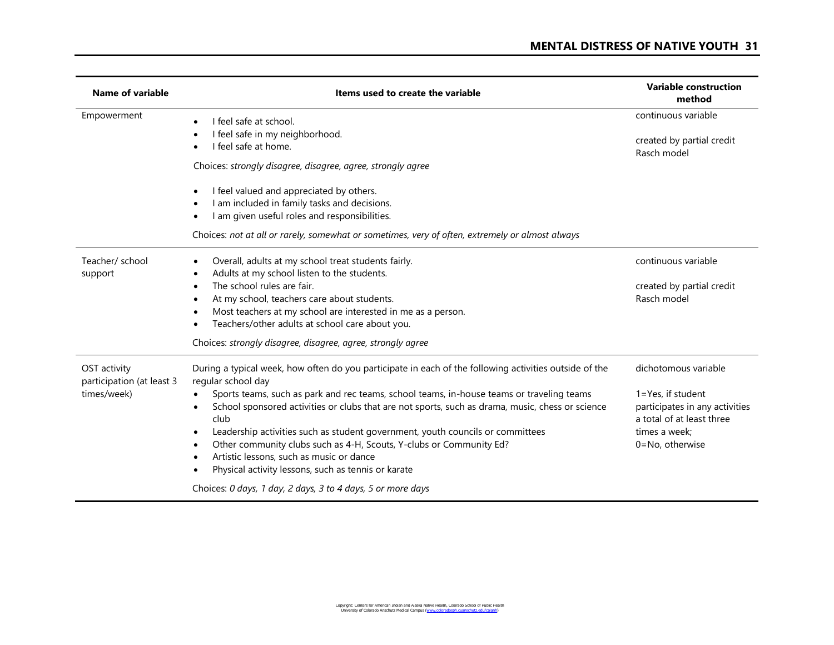| Name of variable                                         | Items used to create the variable                                                                                                                                                                                                                                                                                                                                                                                                                                                                                                                                                                                                                                | <b>Variable construction</b><br>method                                                                                                            |  |  |
|----------------------------------------------------------|------------------------------------------------------------------------------------------------------------------------------------------------------------------------------------------------------------------------------------------------------------------------------------------------------------------------------------------------------------------------------------------------------------------------------------------------------------------------------------------------------------------------------------------------------------------------------------------------------------------------------------------------------------------|---------------------------------------------------------------------------------------------------------------------------------------------------|--|--|
| Empowerment                                              | I feel safe at school.<br>I feel safe in my neighborhood.<br>I feel safe at home.<br>Choices: strongly disagree, disagree, agree, strongly agree<br>I feel valued and appreciated by others.<br>$\bullet$<br>I am included in family tasks and decisions.<br>I am given useful roles and responsibilities.<br>Choices: not at all or rarely, somewhat or sometimes, very of often, extremely or almost always                                                                                                                                                                                                                                                    | continuous variable<br>created by partial credit<br>Rasch model                                                                                   |  |  |
| Teacher/ school<br>support                               | Overall, adults at my school treat students fairly.<br>$\bullet$<br>Adults at my school listen to the students.<br>The school rules are fair.<br>$\bullet$<br>At my school, teachers care about students.<br>$\bullet$<br>Most teachers at my school are interested in me as a person.<br>Teachers/other adults at school care about you.<br>Choices: strongly disagree, disagree, agree, strongly agree                                                                                                                                                                                                                                                         | continuous variable<br>created by partial credit<br>Rasch model                                                                                   |  |  |
| OST activity<br>participation (at least 3<br>times/week) | During a typical week, how often do you participate in each of the following activities outside of the<br>regular school day<br>Sports teams, such as park and rec teams, school teams, in-house teams or traveling teams<br>School sponsored activities or clubs that are not sports, such as drama, music, chess or science<br>club<br>Leadership activities such as student government, youth councils or committees<br>Other community clubs such as 4-H, Scouts, Y-clubs or Community Ed?<br>Artistic lessons, such as music or dance<br>Physical activity lessons, such as tennis or karate<br>Choices: 0 days, 1 day, 2 days, 3 to 4 days, 5 or more days | dichotomous variable<br>$1 = Yes$ , if student<br>participates in any activities<br>a total of at least three<br>times a week:<br>0=No, otherwise |  |  |